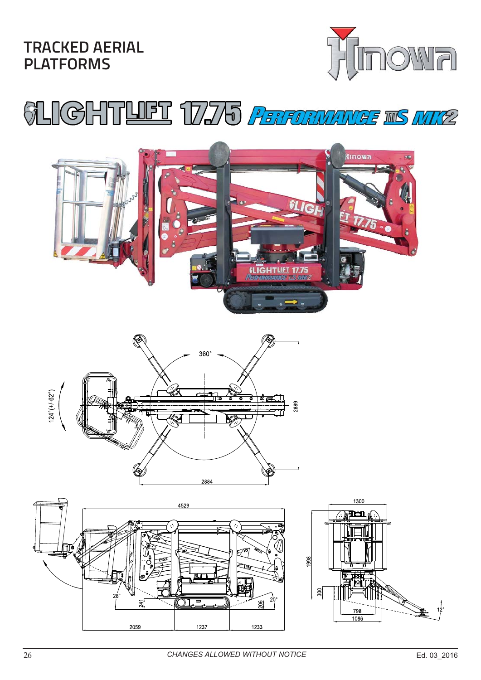### **TRACKED AERIAL PLATFORMS**









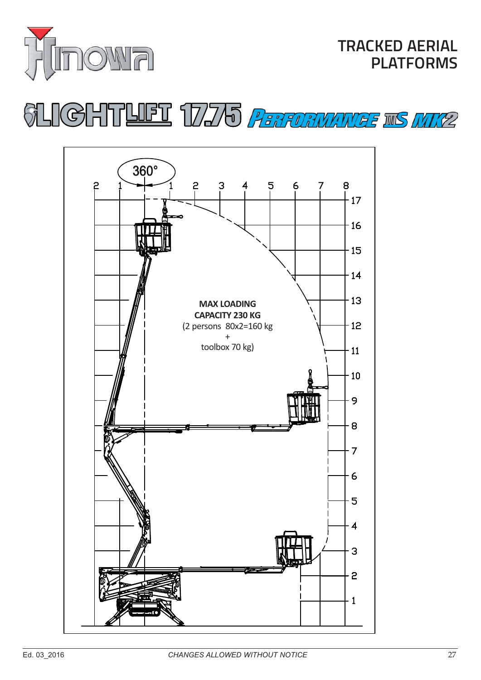

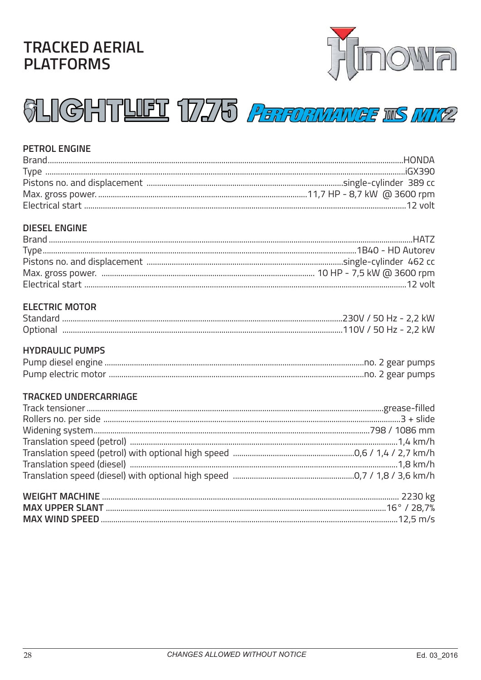## **TRACKED AERIAL PLATFORMS**



# **SLIGHTLIFT 1775 PERFORMANCE IS MIKE**

#### **PETROL ENGINE**

#### **DIESEL ENGINE**

#### **ELECTRIC MOTOR**

| Standard |                       |  |
|----------|-----------------------|--|
| Optional | 110V / 50 Hz - 2.2 kW |  |

#### **HYDRAULIC PUMPS**

#### **TRACKED UNDERCARRIAGE**